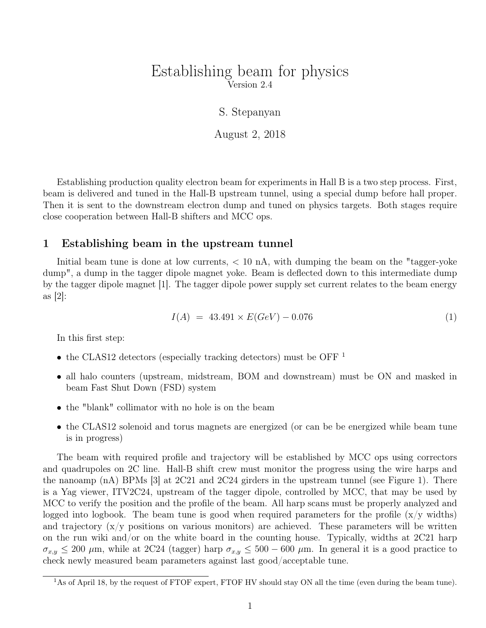## Establishing beam for physics Version 2.4

S. Stepanyan

August 2, 2018

Establishing production quality electron beam for experiments in Hall B is a two step process. First, beam is delivered and tuned in the Hall-B upstream tunnel, using a special dump before hall proper. Then it is sent to the downstream electron dump and tuned on physics targets. Both stages require close cooperation between Hall-B shifters and MCC ops.

#### 1 Establishing beam in the upstream tunnel

Initial beam tune is done at low currents,  $< 10$  nA, with dumping the beam on the "tagger-yoke" dump", a dump in the tagger dipole magnet yoke. Beam is deflected down to this intermediate dump by the tagger dipole magnet [1]. The tagger dipole power supply set current relates to the beam energy as  $|2|$ :

$$
I(A) = 43.491 \times E(GeV) - 0.076 \tag{1}
$$

In this first step:

- the CLAS12 detectors (especially tracking detectors) must be OFF<sup>1</sup>
- all halo counters (upstream, midstream, BOM and downstream) must be ON and masked in beam Fast Shut Down (FSD) system
- the "blank" collimator with no hole is on the beam
- the CLAS12 solenoid and torus magnets are energized (or can be be energized while beam tune is in progress)

The beam with required profile and trajectory will be established by MCC ops using correctors and quadrupoles on 2C line. Hall-B shift crew must monitor the progress using the wire harps and the nanoamp (nA) BPMs [3] at 2C21 and 2C24 girders in the upstream tunnel (see Figure 1). There is a Yag viewer, ITV2C24, upstream of the tagger dipole, controlled by MCC, that may be used by MCC to verify the position and the profile of the beam. All harp scans must be properly analyzed and logged into logbook. The beam tune is good when required parameters for the profile  $(x/y)$  widths) and trajectory  $(x/y)$  positions on various monitors) are achieved. These parameters will be written on the run wiki and/or on the white board in the counting house. Typically, widths at 2C21 harp  $\sigma_{x,y} \leq 200 \mu$ m, while at 2C24 (tagger) harp  $\sigma_{x,y} \leq 500 - 600 \mu$ m. In general it is a good practice to check newly measured beam parameters against last good/acceptable tune.

<sup>&</sup>lt;sup>1</sup>As of April 18, by the request of FTOF expert, FTOF HV should stay ON all the time (even during the beam tune).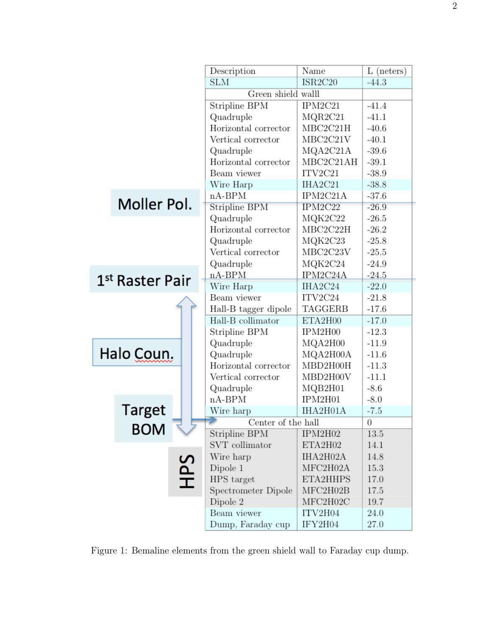|                 |             |                    | Description          | Name      | L (neters)       |
|-----------------|-------------|--------------------|----------------------|-----------|------------------|
|                 |             |                    | SLM                  | ISR2C20   | $-44.3$          |
|                 |             |                    | Green shield walll   |           |                  |
|                 |             | Stripline BPM      | IPM2C21              | $-41.4$   |                  |
|                 |             |                    | Quadruple            | MQR2C21   | $-41.1$          |
|                 |             |                    | Horizontal corrector | MBC2C21H  | $-40.6$          |
|                 |             |                    | Vertical corrector   | MBC2C21V  | $-40.1$          |
|                 |             |                    | Quadruple            | MQA2C21A  | $-39.6$          |
|                 |             |                    | Horizontal corrector | MBC2C21AH | $-39.1$          |
|                 |             |                    | Beam viewer          | ITV2C21   | $-38.9$          |
|                 |             |                    | Wire Harp            | IHA2C21   | $-38.8$          |
|                 | Moller Pol. |                    | $nA-BPM$             | IPM2C21A  | $-37.6$          |
|                 |             |                    | Stripline BPM        | IPM2C22   | $-26.9$          |
|                 |             |                    | Quadruple            | MQK2C22   | $-26.5$          |
|                 |             |                    | Horizontal corrector | MBC2C22H  | $-26.2$          |
|                 |             | Quadruple          | MQK2C23              | $-25.8$   |                  |
|                 |             | Vertical corrector | MBC2C23V             | $-25.5$   |                  |
|                 |             |                    | Quadruple            | MQK2C24   | $-24.9$          |
| 1st Raster Pair |             |                    | $nA-BPM$             | IPM2C24A  | $-24.5$          |
|                 |             | Wire Harp          | IHA2C24              | $-22.0$   |                  |
|                 |             |                    | Beam viewer          | ITV2C24   | $-21.8$          |
|                 |             |                    | Hall-B tagger dipole | TAGGERB   | $-17.6$          |
|                 |             |                    | Hall-B collimator    | ETA2H00   | $-17.0$          |
|                 |             |                    | Stripline BPM        | IPM2H00   | $-12.3$          |
|                 |             | Quadruple          | MQA2H00              | $-11.9$   |                  |
|                 | Halo Coun.  |                    | Quadruple            | MQA2H00A  | $-11.6$          |
|                 |             |                    | Horizontal corrector | MBD2H00H  | $-11.3$          |
|                 |             |                    | Vertical corrector   | MBD2H00V  | $-11.1$          |
|                 |             |                    | Quadruple            | MQB2H01   | $-8.6$           |
|                 |             |                    | $nA-BPM$             | IPM2H01   | $-8.0$           |
|                 | Target      |                    | Wire harp            | IHA2H01A  | $-7.5$           |
|                 | <b>BOM</b>  |                    | Center of the hall   |           | $\boldsymbol{0}$ |
|                 |             |                    | Stripline BPM        | IPM2H02   | 13.5             |
|                 |             |                    | SVT collimator       | ETA2H02   | 14.1             |
|                 |             |                    | Wire harp            | IHA2H02A  | 14.8             |
|                 |             |                    | Dipole 1             | MFC2H02A  | 15.3             |
|                 |             | SdH                | HPS target           | ETA2HHPS  | 17.0             |
|                 |             |                    | Spectrometer Dipole  | MFC2H02B  | 17.5             |
|                 |             |                    | Dipole 2             | MFC2H02C  | 19.7             |
|                 |             |                    | Beam viewer          | ITV2H04   | 24.0             |
|                 |             |                    | Dump, Faraday cup    | IFY2H04   | 27.0             |

Figure 1: Bemaline elements from the green shield wall to Faraday cup dump.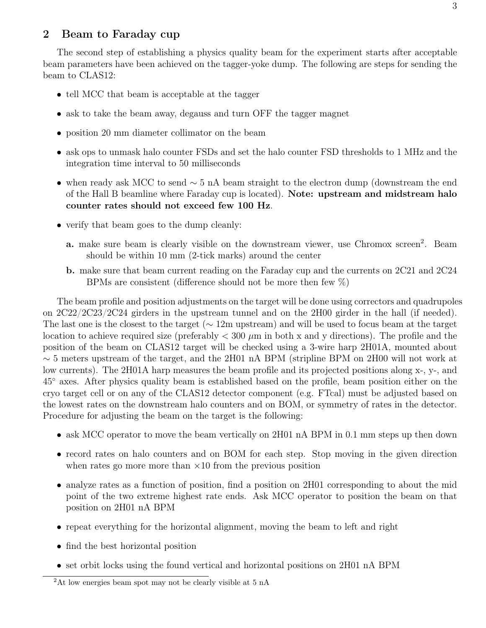### 2 Beam to Faraday cup

The second step of establishing a physics quality beam for the experiment starts after acceptable beam parameters have been achieved on the tagger-yoke dump. The following are steps for sending the beam to CLAS12:

- tell MCC that beam is acceptable at the tagger
- ask to take the beam away, degauss and turn OFF the tagger magnet
- position 20 mm diameter collimator on the beam
- ask ops to unmask halo counter FSDs and set the halo counter FSD thresholds to 1 MHz and the integration time interval to 50 milliseconds
- when ready ask MCC to send ∼ 5 nA beam straight to the electron dump (downstream the end of the Hall B beamline where Faraday cup is located). Note: upstream and midstream halo counter rates should not exceed few 100 Hz.
- verify that beam goes to the dump cleanly:
	- a. make sure beam is clearly visible on the downstream viewer, use Chromox screen<sup>2</sup>. Beam should be within 10 mm (2-tick marks) around the center
	- b. make sure that beam current reading on the Faraday cup and the currents on 2C21 and 2C24 BPMs are consistent (difference should not be more then few %)

The beam profile and position adjustments on the target will be done using correctors and quadrupoles on 2C22/2C23/2C24 girders in the upstream tunnel and on the 2H00 girder in the hall (if needed). The last one is the closest to the target ( $\sim 12$ m upstream) and will be used to focus beam at the target location to achieve required size (preferably  $< 300 \mu m$  in both x and y directions). The profile and the position of the beam on CLAS12 target will be checked using a 3-wire harp 2H01A, mounted about  $\sim$  5 meters upstream of the target, and the 2H01 nA BPM (stripline BPM on 2H00 will not work at low currents). The 2H01A harp measures the beam profile and its projected positions along x-, y-, and 45◦ axes. After physics quality beam is established based on the profile, beam position either on the cryo target cell or on any of the CLAS12 detector component (e.g. FTcal) must be adjusted based on the lowest rates on the downstream halo counters and on BOM, or symmetry of rates in the detector. Procedure for adjusting the beam on the target is the following:

- ask MCC operator to move the beam vertically on 2H01 nA BPM in 0.1 mm steps up then down
- record rates on halo counters and on BOM for each step. Stop moving in the given direction when rates go more more than  $\times 10$  from the previous position
- analyze rates as a function of position, find a position on 2H01 corresponding to about the mid point of the two extreme highest rate ends. Ask MCC operator to position the beam on that position on 2H01 nA BPM
- repeat everything for the horizontal alignment, moving the beam to left and right
- find the best horizontal position
- set orbit locks using the found vertical and horizontal positions on 2H01 nA BPM

<sup>&</sup>lt;sup>2</sup>At low energies beam spot may not be clearly visible at 5 nA